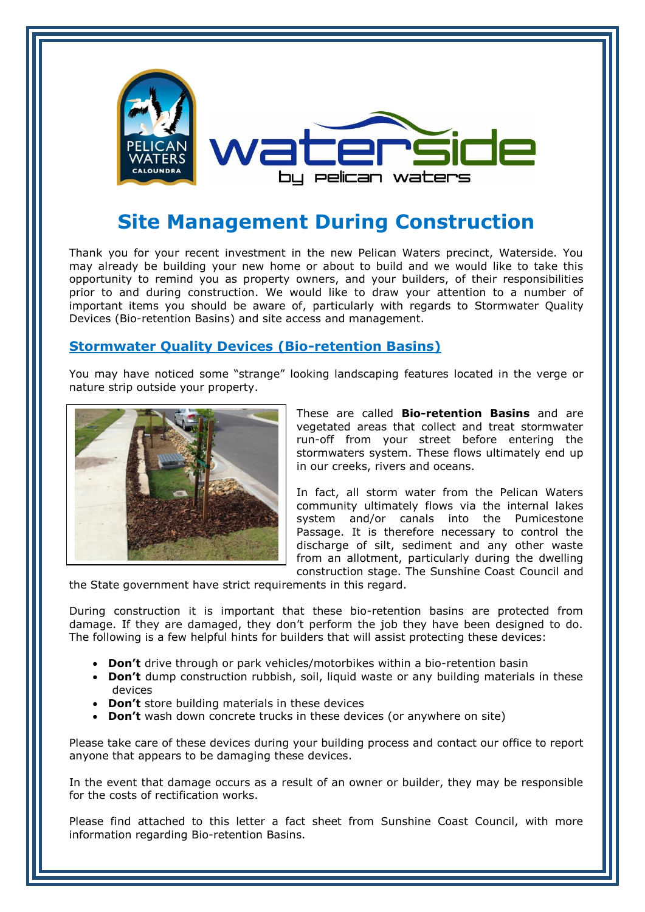

## **Site Management During Construction**

Thank you for your recent investment in the new Pelican Waters precinct, Waterside. You may already be building your new home or about to build and we would like to take this opportunity to remind you as property owners, and your builders, of their responsibilities prior to and during construction. We would like to draw your attention to a number of important items you should be aware of, particularly with regards to Stormwater Quality Devices (Bio-retention Basins) and site access and management.

## **Stormwater Quality Devices (Bio-retention Basins)**

You may have noticed some "strange" looking landscaping features located in the verge or nature strip outside your property.



These are called **Bio-retention Basins** and are vegetated areas that collect and treat stormwater run-off from your street before entering the stormwaters system. These flows ultimately end up in our creeks, rivers and oceans.

In fact, all storm water from the Pelican Waters community ultimately flows via the internal lakes system and/or canals into the Pumicestone Passage. It is therefore necessary to control the discharge of silt, sediment and any other waste from an allotment, particularly during the dwelling construction stage. The Sunshine Coast Council and

the State government have strict requirements in this regard.

During construction it is important that these bio-retention basins are protected from damage. If they are damaged, they don't perform the job they have been designed to do. The following is a few helpful hints for builders that will assist protecting these devices:

- **Don't** drive through or park vehicles/motorbikes within a bio-retention basin
- **Don't** dump construction rubbish, soil, liquid waste or any building materials in these devices
- **Don't** store building materials in these devices
- **Don't** wash down concrete trucks in these devices (or anywhere on site)

Please take care of these devices during your building process and contact our office to report anyone that appears to be damaging these devices.

In the event that damage occurs as a result of an owner or builder, they may be responsible for the costs of rectification works.

Please find attached to this letter a fact sheet from Sunshine Coast Council, with more information regarding Bio-retention Basins.